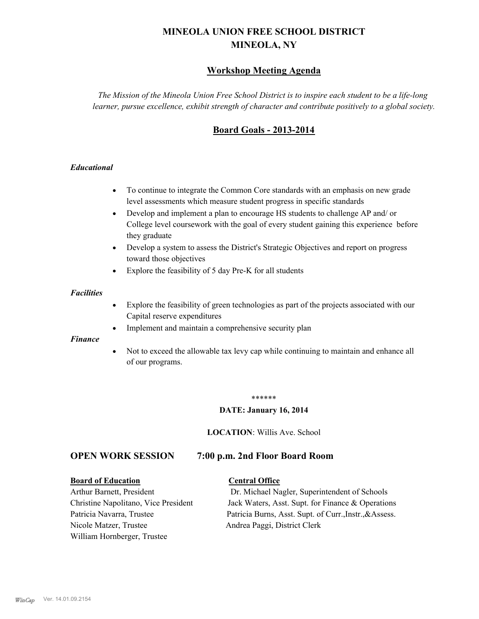# **MINEOLA UNION FREE SCHOOL DISTRICT MINEOLA, NY**

# **Workshop Meeting Agenda**

*The Mission of the Mineola Union Free School District is to inspire each student to be a life-long learner, pursue excellence, exhibit strength of character and contribute positively to a global society.*

# **Board Goals - 2013-2014**

#### *Educational*

- · To continue to integrate the Common Core standards with an emphasis on new grade level assessments which measure student progress in specific standards
- · Develop and implement a plan to encourage HS students to challenge AP and/ or College level coursework with the goal of every student gaining this experience before they graduate
- Develop a system to assess the District's Strategic Objectives and report on progress toward those objectives
- · Explore the feasibility of 5 day Pre-K for all students

#### *Facilities*

- · Explore the feasibility of green technologies as part of the projects associated with our Capital reserve expenditures
- Implement and maintain a comprehensive security plan

#### *Finance*

• Not to exceed the allowable tax levy cap while continuing to maintain and enhance all of our programs.

#### \*\*\*\*\*\*

#### **DATE: January 16, 2014**

**LOCATION**: Willis Ave. School

# **OPEN WORK SESSION 7:00 p.m. 2nd Floor Board Room**

#### **Board of Education Central Office**

Nicole Matzer, Trustee Andrea Paggi, District Clerk William Hornberger, Trustee

Arthur Barnett, President Dr. Michael Nagler, Superintendent of Schools Christine Napolitano, Vice President Jack Waters, Asst. Supt. for Finance & Operations Patricia Navarra, Trustee Patricia Burns, Asst. Supt. of Curr., Instr., &Assess.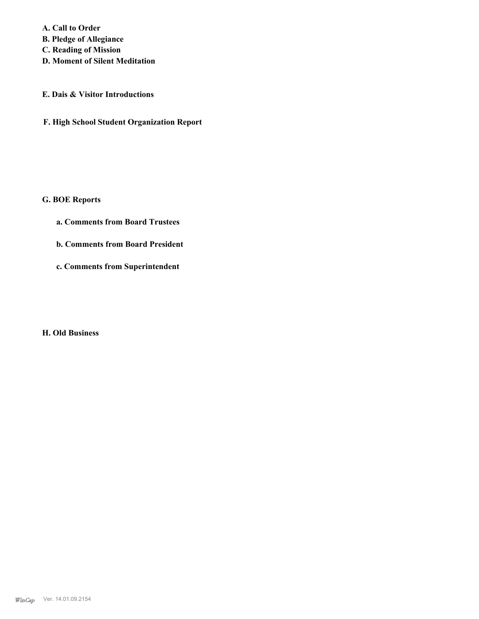**A. Call to Order B. Pledge of Allegiance C. Reading of Mission**

**D. Moment of Silent Meditation**

## **E. Dais & Visitor Introductions**

**F. High School Student Organization Report**

# **G. BOE Reports**

- **a. Comments from Board Trustees**
- **b. Comments from Board President**
- **c. Comments from Superintendent**

#### **H. Old Business**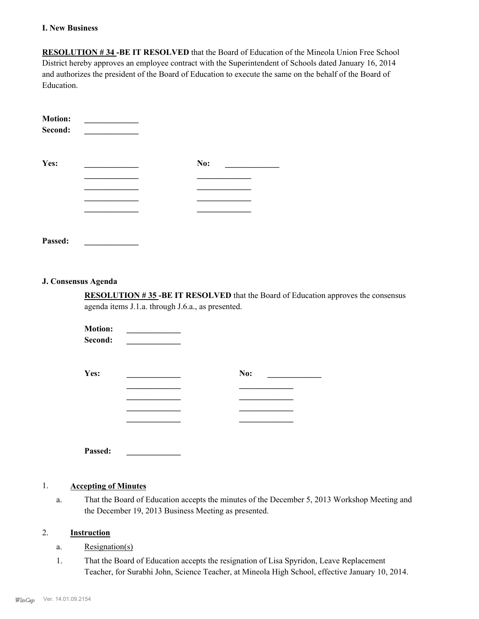#### **I. New Business**

**RESOLUTION # 34 -BE IT RESOLVED** that the Board of Education of the Mineola Union Free School District hereby approves an employee contract with the Superintendent of Schools dated January 16, 2014 and authorizes the president of the Board of Education to execute the same on the behalf of the Board of Education.

| <b>Motion:</b><br>Second: |     |
|---------------------------|-----|
| Yes:                      | No: |
|                           |     |
|                           |     |
|                           |     |
|                           |     |

**Passed: \_\_\_\_\_\_\_\_\_\_\_\_\_**

#### **J. Consensus Agenda**

**RESOLUTION # 35 -BE IT RESOLVED** that the Board of Education approves the consensus agenda items J.1.a. through J.6.a., as presented.

| <b>Motion:</b><br>Second: |     |  |
|---------------------------|-----|--|
| Yes:                      | No: |  |
|                           |     |  |
|                           |     |  |

**Passed: \_\_\_\_\_\_\_\_\_\_\_\_\_**

## 1. **Accepting of Minutes**

That the Board of Education accepts the minutes of the December 5, 2013 Workshop Meeting and the December 19, 2013 Business Meeting as presented. a.

#### 2. **Instruction**

- a. Resignation(s)
- That the Board of Education accepts the resignation of Lisa Spyridon, Leave Replacement Teacher, for Surabhi John, Science Teacher, at Mineola High School, effective January 10, 2014. 1.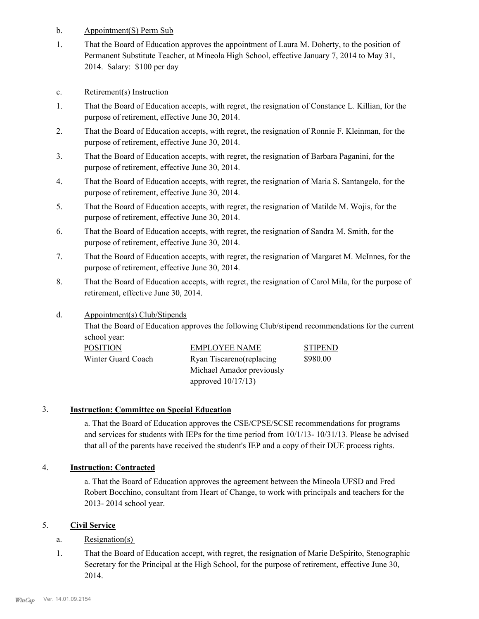- b. Appointment(S) Perm Sub
- That the Board of Education approves the appointment of Laura M. Doherty, to the position of Permanent Substitute Teacher, at Mineola High School, effective January 7, 2014 to May 31, 2014. Salary: \$100 per day 1.
- c. Retirement(s) Instruction
- That the Board of Education accepts, with regret, the resignation of Constance L. Killian, for the purpose of retirement, effective June 30, 2014. 1.
- That the Board of Education accepts, with regret, the resignation of Ronnie F. Kleinman, for the purpose of retirement, effective June 30, 2014. 2.
- That the Board of Education accepts, with regret, the resignation of Barbara Paganini, for the purpose of retirement, effective June 30, 2014. 3.
- That the Board of Education accepts, with regret, the resignation of Maria S. Santangelo, for the purpose of retirement, effective June 30, 2014. 4.
- That the Board of Education accepts, with regret, the resignation of Matilde M. Wojis, for the purpose of retirement, effective June 30, 2014. 5.
- That the Board of Education accepts, with regret, the resignation of Sandra M. Smith, for the purpose of retirement, effective June 30, 2014. 6.
- That the Board of Education accepts, with regret, the resignation of Margaret M. McInnes, for the purpose of retirement, effective June 30, 2014. 7.
- That the Board of Education accepts, with regret, the resignation of Carol Mila, for the purpose of retirement, effective June 30, 2014. 8.
- Appointment(s) Club/Stipends d.

That the Board of Education approves the following Club/stipend recommendations for the current school year:

| <b>POSITION</b>    | <b>EMPLOYEE NAME</b>                 | <b>STIPEND</b> |
|--------------------|--------------------------------------|----------------|
| Winter Guard Coach | \$980.00<br>Ryan Tiscareno(replacing |                |
|                    | Michael Amador previously            |                |
|                    | approved $10/17/13$ )                |                |

# 3. **Instruction: Committee on Special Education**

a. That the Board of Education approves the CSE/CPSE/SCSE recommendations for programs and services for students with IEPs for the time period from 10/1/13- 10/31/13. Please be advised that all of the parents have received the student's IEP and a copy of their DUE process rights.

#### 4. **Instruction: Contracted**

a. That the Board of Education approves the agreement between the Mineola UFSD and Fred Robert Bocchino, consultant from Heart of Change, to work with principals and teachers for the 2013- 2014 school year.

# 5. **Civil Service**

#### a. Resignation(s)

That the Board of Education accept, with regret, the resignation of Marie DeSpirito, Stenographic Secretary for the Principal at the High School, for the purpose of retirement, effective June 30, 2014. 1.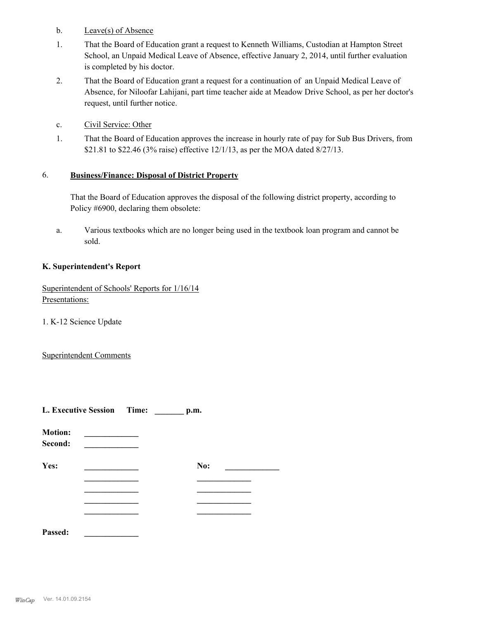- b. Leave(s) of Absence
- That the Board of Education grant a request to Kenneth Williams, Custodian at Hampton Street School, an Unpaid Medical Leave of Absence, effective January 2, 2014, until further evaluation is completed by his doctor. 1.
- That the Board of Education grant a request for a continuation of an Unpaid Medical Leave of Absence, for Niloofar Lahijani, part time teacher aide at Meadow Drive School, as per her doctor's request, until further notice. 2.
- c. Civil Service: Other
- That the Board of Education approves the increase in hourly rate of pay for Sub Bus Drivers, from \$21.81 to \$22.46 (3% raise) effective 12/1/13, as per the MOA dated 8/27/13. 1.

#### **Business/Finance: Disposal of District Property** 6.

That the Board of Education approves the disposal of the following district property, according to Policy #6900, declaring them obsolete:

Various textbooks which are no longer being used in the textbook loan program and cannot be sold. a.

#### **K. Superintendent's Report**

Superintendent of Schools' Reports for 1/16/14 Presentations:

1. K-12 Science Update

Superintendent Comments

|                           | L. Executive Session Time: |  | p.m. |  |
|---------------------------|----------------------------|--|------|--|
| <b>Motion:</b><br>Second: |                            |  |      |  |
| Yes:                      |                            |  | No:  |  |
|                           |                            |  |      |  |
|                           |                            |  |      |  |
| Passed:                   |                            |  |      |  |